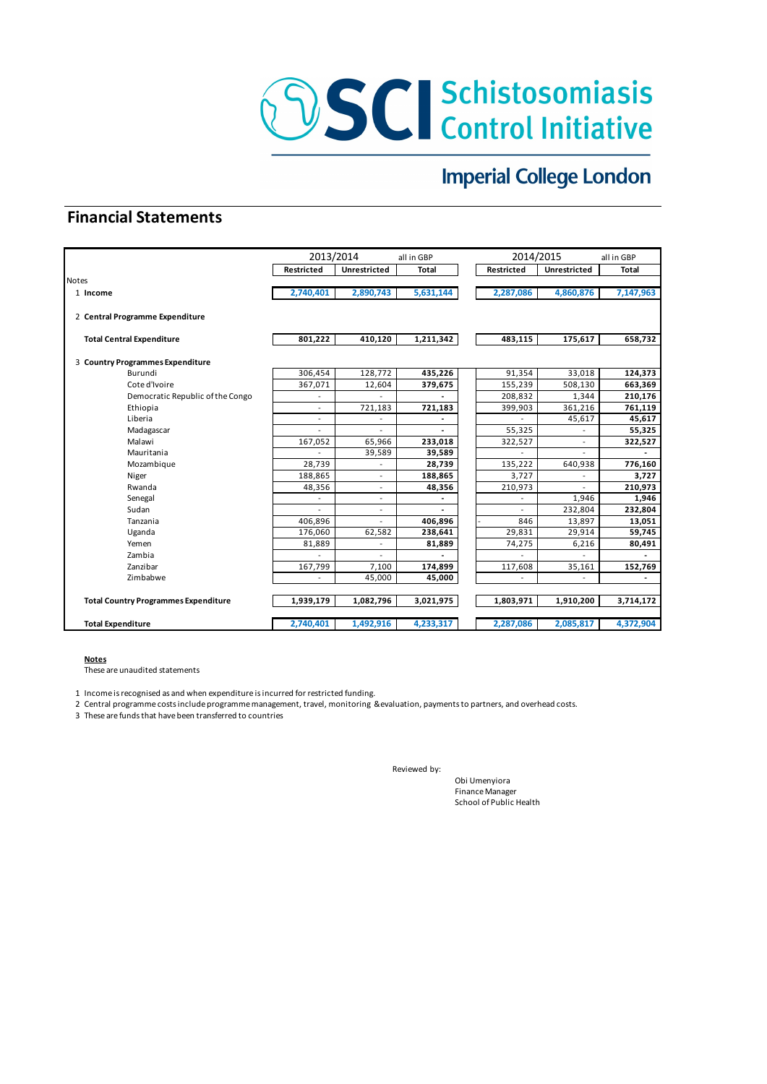

# **Imperial College London**

## **Financial Statements**

|                                             |                          | 2013/2014      | all in GBP   |            | 2014/2015    | all in GBP               |  |  |
|---------------------------------------------|--------------------------|----------------|--------------|------------|--------------|--------------------------|--|--|
|                                             | Restricted               | Unrestricted   | <b>Total</b> | Restricted | Unrestricted | <b>Total</b>             |  |  |
| <b>Notes</b>                                |                          |                |              |            |              |                          |  |  |
| 1 Income                                    | 2,740,401                | 2,890,743      | 5,631,144    | 2,287,086  | 4,860,876    | 7,147,963                |  |  |
| 2 Central Programme Expenditure             |                          |                |              |            |              |                          |  |  |
| <b>Total Central Expenditure</b>            | 801,222                  | 410,120        | 1,211,342    | 483,115    | 175,617      | 658,732                  |  |  |
| 3 Country Programmes Expenditure            |                          |                |              |            |              |                          |  |  |
| Burundi                                     | 306,454                  | 128,772        | 435,226      | 91,354     | 33,018       | 124,373                  |  |  |
| Cote d'Ivoire                               | 367,071                  | 12,604         | 379,675      | 155,239    | 508,130      | 663,369                  |  |  |
| Democratic Republic of the Congo            | $\overline{\phantom{0}}$ |                |              | 208,832    | 1,344        | 210,176                  |  |  |
| Ethiopia                                    | ٠                        | 721,183        | 721,183      | 399,903    | 361,216      | 761,119                  |  |  |
| Liberia                                     |                          |                |              |            | 45,617       | 45,617                   |  |  |
| Madagascar                                  |                          |                |              | 55,325     |              | 55,325                   |  |  |
| Malawi                                      | 167,052                  | 65,966         | 233,018      | 322,527    |              | 322,527                  |  |  |
| Mauritania                                  |                          | 39,589         | 39,589       |            |              | $\overline{\phantom{0}}$ |  |  |
| Mozambique                                  | 28,739                   | $\overline{a}$ | 28,739       | 135,222    | 640,938      | 776,160                  |  |  |
| Niger                                       | 188,865                  | $\overline{a}$ | 188,865      | 3,727      |              | 3,727                    |  |  |
| Rwanda                                      | 48,356                   |                | 48,356       | 210,973    |              | 210,973                  |  |  |
| Senegal                                     |                          |                |              |            | 1,946        | 1,946                    |  |  |
| Sudan                                       |                          |                |              |            | 232,804      | 232,804                  |  |  |
| Tanzania                                    | 406,896                  |                | 406.896      | 846        | 13,897       | 13,051                   |  |  |
| Uganda                                      | 176,060                  | 62,582         | 238,641      | 29,831     | 29,914       | 59,745                   |  |  |
| Yemen                                       | 81,889                   |                | 81,889       | 74,275     | 6,216        | 80,491                   |  |  |
| Zambia                                      |                          |                |              |            |              |                          |  |  |
| Zanzibar                                    | 167,799                  | 7,100          | 174,899      | 117,608    | 35,161       | 152,769                  |  |  |
| Zimbabwe                                    |                          | 45,000         | 45,000       |            |              |                          |  |  |
| <b>Total Country Programmes Expenditure</b> | 1,939,179                | 1,082,796      | 3,021,975    | 1,803,971  | 1,910,200    | 3,714,172                |  |  |
| <b>Total Expenditure</b>                    | 2,740,401                | 1,492,916      | 4,233,317    | 2,287,086  | 2,085,817    | 4,372,904                |  |  |

#### **Notes**

These are unaudited statements

1 Income is recognised as and when expenditure is incurred for restricted funding.

2 Central programme costs include programme management, travel, monitoring &evaluation, payments to partners, and overhead costs.

3 These are funds that have been transferred to countries

Reviewed by:

Obi Umenyiora Finance Manager School of Public Health